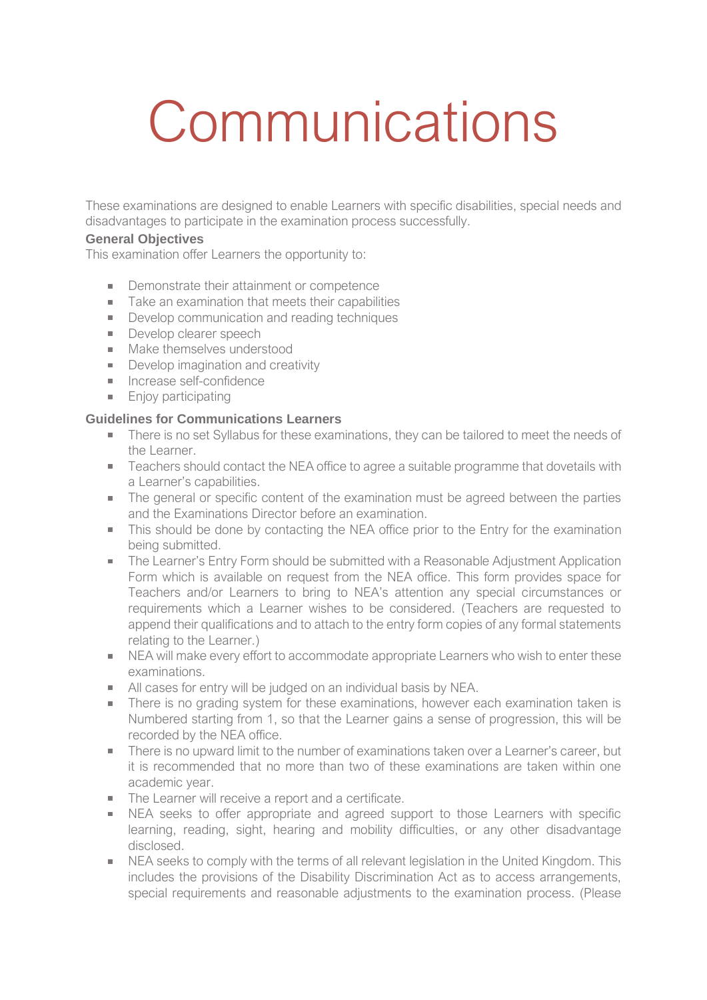## **Communications**

These examinations are designed to enable Learners with specific disabilities, special needs and disadvantages to participate in the examination process successfully.

## **General Objectives**

This examination offer Learners the opportunity to:

- $\mathbb{R}^{n \times n}$ Demonstrate their attainment or competence
- Take an examination that meets their capabilities
- Develop communication and reading techniques
- Develop clearer speech
- **Make themselves understood**
- Develop imagination and creativity
- **Increase self-confidence**
- **Enjoy participating**

## **Guidelines for Communications Learners**

- There is no set Syllabus for these examinations, they can be tailored to meet the needs of the Learner.
- Teachers should contact the NEA office to agree a suitable programme that dovetails with a Learner's capabilities.
- The general or specific content of the examination must be agreed between the parties and the Examinations Director before an examination.
- This should be done by contacting the NEA office prior to the Entry for the examination being submitted.
- **The Learner's Entry Form should be submitted with a Reasonable Adjustment Application** Form which is available on request from the NEA office. This form provides space for Teachers and/or Learners to bring to NEA's attention any special circumstances or requirements which a Learner wishes to be considered. (Teachers are requested to append their qualifications and to attach to the entry form copies of any formal statements relating to the Learner.)
- NEA will make every effort to accommodate appropriate Learners who wish to enter these examinations.
- All cases for entry will be judged on an individual basis by NEA.
- There is no grading system for these examinations, however each examination taken is Numbered starting from 1, so that the Learner gains a sense of progression, this will be recorded by the NEA office.
- There is no upward limit to the number of examinations taken over a Learner's career, but  $\mathcal{L}^{\text{max}}$ it is recommended that no more than two of these examinations are taken within one academic year.
- The Learner will receive a report and a certificate.
- NEA seeks to offer appropriate and agreed support to those Learners with specific  $\mathbf{u}$  . learning, reading, sight, hearing and mobility difficulties, or any other disadvantage disclosed.
- NEA seeks to comply with the terms of all relevant legislation in the United Kingdom. This  $\mathbf{u}$  . includes the provisions of the Disability Discrimination Act as to access arrangements, special requirements and reasonable adjustments to the examination process. (Please